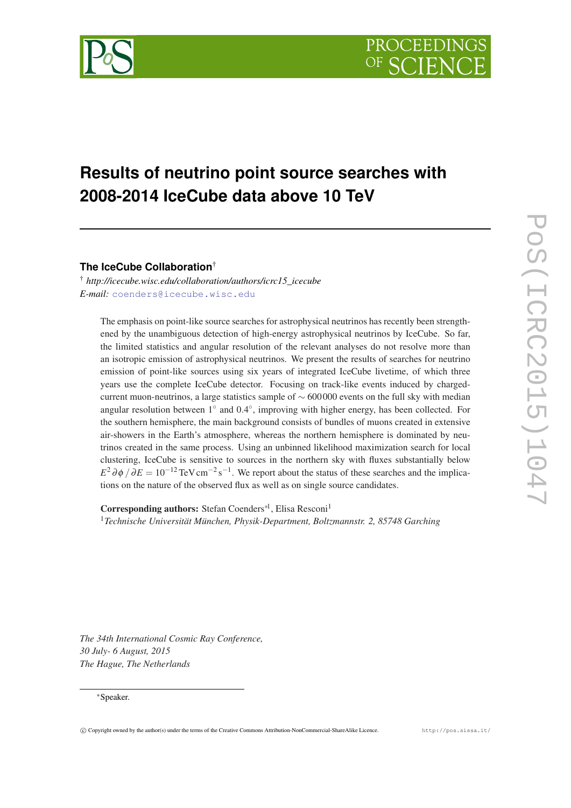

# **Results of neutrino point source searches with 2008-2014 IceCube data above 10 TeV**

**The IceCube Collaboration**†

† *http://icecube.wisc.edu/collaboration/authors/icrc15\_icecube E-mail:* [coenders@icecube.wisc.edu](mailto:coenders@icecube.wisc.edu)

The emphasis on point-like source searches for astrophysical neutrinos has recently been strengthened by the unambiguous detection of high-energy astrophysical neutrinos by IceCube. So far, the limited statistics and angular resolution of the relevant analyses do not resolve more than an isotropic emission of astrophysical neutrinos. We present the results of searches for neutrino emission of point-like sources using six years of integrated IceCube livetime, of which three years use the complete IceCube detector. Focusing on track-like events induced by chargedcurrent muon-neutrinos, a large statistics sample of  $\sim$  600 000 events on the full sky with median angular resolution between  $1°$  and  $0.4°$ , improving with higher energy, has been collected. For the southern hemisphere, the main background consists of bundles of muons created in extensive air-showers in the Earth's atmosphere, whereas the northern hemisphere is dominated by neutrinos created in the same process. Using an unbinned likelihood maximization search for local clustering, IceCube is sensitive to sources in the northern sky with fluxes substantially below  $E^2 \partial \phi / \partial E = 10^{-12} \text{TeV cm}^{-2} \text{s}^{-1}$ . We report about the status of these searches and the implications on the nature of the observed flux as well as on single source candidates.

Corresponding authors: Stefan Coenders<sup>\*1</sup>, Elisa Resconi<sup>1</sup> <sup>1</sup>*Technische Universität München, Physik-Department, Boltzmannstr. 2, 85748 Garching*

*The 34th International Cosmic Ray Conference, 30 July- 6 August, 2015 The Hague, The Netherlands*

#### ∗Speaker.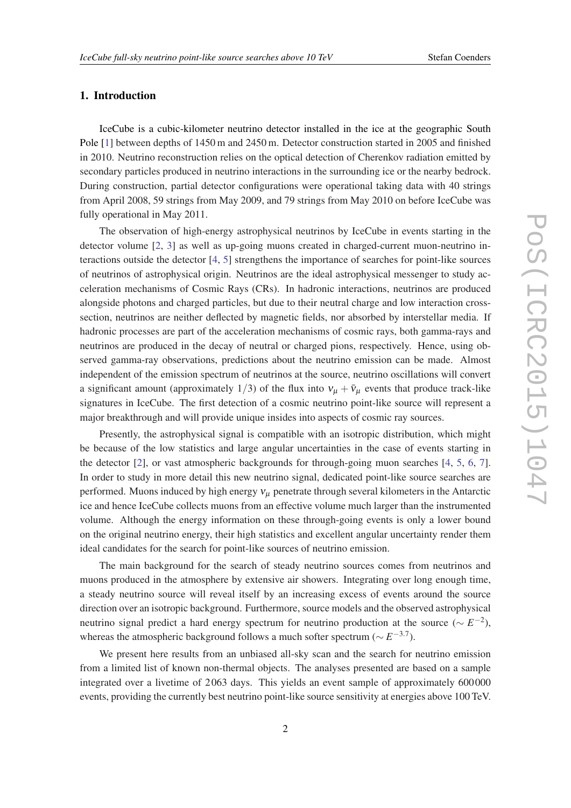# 1. Introduction

IceCube is a cubic-kilometer neutrino detector installed in the ice at the geographic South Pole [\[1\]](#page-7-0) between depths of 1450 m and 2450 m. Detector construction started in 2005 and finished in 2010. Neutrino reconstruction relies on the optical detection of Cherenkov radiation emitted by secondary particles produced in neutrino interactions in the surrounding ice or the nearby bedrock. During construction, partial detector configurations were operational taking data with 40 strings from April 2008, 59 strings from May 2009, and 79 strings from May 2010 on before IceCube was fully operational in May 2011.

The observation of high-energy astrophysical neutrinos by IceCube in events starting in the detector volume [\[2,](#page-7-0) [3\]](#page-7-0) as well as up-going muons created in charged-current muon-neutrino interactions outside the detector [\[4,](#page-7-0) [5](#page-7-0)] strengthens the importance of searches for point-like sources of neutrinos of astrophysical origin. Neutrinos are the ideal astrophysical messenger to study acceleration mechanisms of Cosmic Rays (CRs). In hadronic interactions, neutrinos are produced alongside photons and charged particles, but due to their neutral charge and low interaction crosssection, neutrinos are neither deflected by magnetic fields, nor absorbed by interstellar media. If hadronic processes are part of the acceleration mechanisms of cosmic rays, both gamma-rays and neutrinos are produced in the decay of neutral or charged pions, respectively. Hence, using observed gamma-ray observations, predictions about the neutrino emission can be made. Almost independent of the emission spectrum of neutrinos at the source, neutrino oscillations will convert a significant amount (approximately 1/3) of the flux into  $v_{\mu} + \bar{v}_{\mu}$  events that produce track-like signatures in IceCube. The first detection of a cosmic neutrino point-like source will represent a major breakthrough and will provide unique insides into aspects of cosmic ray sources.

Presently, the astrophysical signal is compatible with an isotropic distribution, which might be because of the low statistics and large angular uncertainties in the case of events starting in the detector [[2](#page-7-0)], or vast atmospheric backgrounds for through-going muon searches [\[4,](#page-7-0) [5,](#page-7-0) [6,](#page-7-0) [7\]](#page-7-0). In order to study in more detail this new neutrino signal, dedicated point-like source searches are performed. Muons induced by high energy  $v<sub>u</sub>$  penetrate through several kilometers in the Antarctic ice and hence IceCube collects muons from an effective volume much larger than the instrumented volume. Although the energy information on these through-going events is only a lower bound on the original neutrino energy, their high statistics and excellent angular uncertainty render them ideal candidates for the search for point-like sources of neutrino emission.

The main background for the search of steady neutrino sources comes from neutrinos and muons produced in the atmosphere by extensive air showers. Integrating over long enough time, a steady neutrino source will reveal itself by an increasing excess of events around the source direction over an isotropic background. Furthermore, source models and the observed astrophysical neutrino signal predict a hard energy spectrum for neutrino production at the source ( $\sim E^{-2}$ ), whereas the atmospheric background follows a much softer spectrum ( $\sim E^{-3.7}$ ).

We present here results from an unbiased all-sky scan and the search for neutrino emission from a limited list of known non-thermal objects. The analyses presented are based on a sample integrated over a livetime of 2 063 days. This yields an event sample of approximately 600 000 events, providing the currently best neutrino point-like source sensitivity at energies above 100 TeV.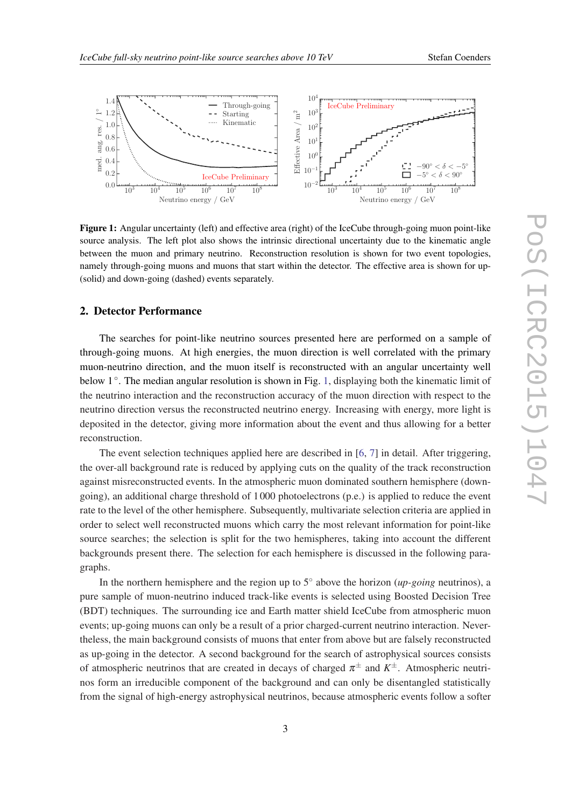

<span id="page-2-0"></span>

Figure 1: Angular uncertainty (left) and effective area (right) of the IceCube through-going muon point-like source analysis. The left plot also shows the intrinsic directional uncertainty due to the kinematic angle between the muon and primary neutrino. Reconstruction resolution is shown for two event topologies, namely through-going muons and muons that start within the detector. The effective area is shown for up- (solid) and down-going (dashed) events separately.

# 2. Detector Performance

The searches for point-like neutrino sources presented here are performed on a sample of through-going muons. At high energies, the muon direction is well correlated with the primary muon-neutrino direction, and the muon itself is reconstructed with an angular uncertainty well below 1<sup>°</sup>. The median angular resolution is shown in Fig. 1, displaying both the kinematic limit of the neutrino interaction and the reconstruction accuracy of the muon direction with respect to the neutrino direction versus the reconstructed neutrino energy. Increasing with energy, more light is deposited in the detector, giving more information about the event and thus allowing for a better reconstruction.

The event selection techniques applied here are described in [\[6,](#page-7-0) [7\]](#page-7-0) in detail. After triggering, the over-all background rate is reduced by applying cuts on the quality of the track reconstruction against misreconstructed events. In the atmospheric muon dominated southern hemisphere (downgoing), an additional charge threshold of 1 000 photoelectrons (p.e.) is applied to reduce the event rate to the level of the other hemisphere. Subsequently, multivariate selection criteria are applied in order to select well reconstructed muons which carry the most relevant information for point-like source searches; the selection is split for the two hemispheres, taking into account the different backgrounds present there. The selection for each hemisphere is discussed in the following paragraphs.

In the northern hemisphere and the region up to 5◦ above the horizon (*up-going* neutrinos), a pure sample of muon-neutrino induced track-like events is selected using Boosted Decision Tree (BDT) techniques. The surrounding ice and Earth matter shield IceCube from atmospheric muon events; up-going muons can only be a result of a prior charged-current neutrino interaction. Nevertheless, the main background consists of muons that enter from above but are falsely reconstructed as up-going in the detector. A second background for the search of astrophysical sources consists of atmospheric neutrinos that are created in decays of charged  $\pi^{\pm}$  and  $K^{\pm}$ . Atmospheric neutrinos form an irreducible component of the background and can only be disentangled statistically from the signal of high-energy astrophysical neutrinos, because atmospheric events follow a softer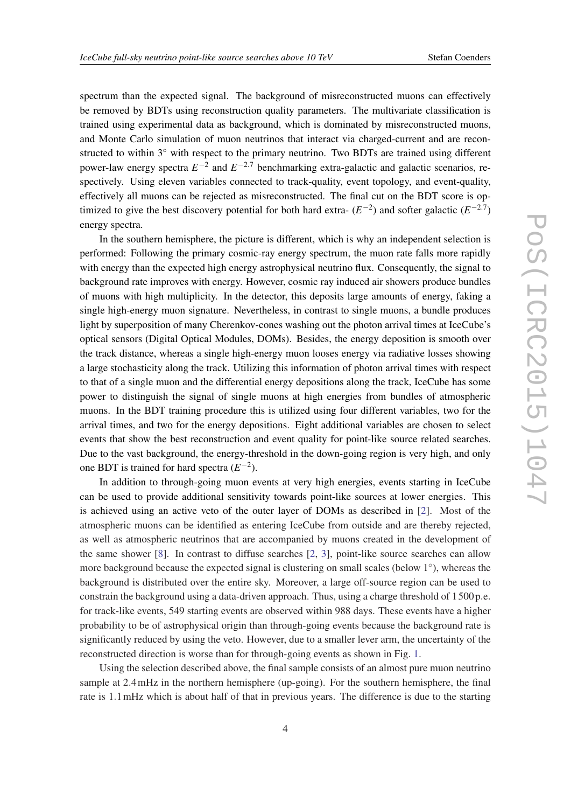spectrum than the expected signal. The background of misreconstructed muons can effectively be removed by BDTs using reconstruction quality parameters. The multivariate classification is trained using experimental data as background, which is dominated by misreconstructed muons, and Monte Carlo simulation of muon neutrinos that interact via charged-current and are reconstructed to within 3° with respect to the primary neutrino. Two BDTs are trained using different power-law energy spectra  $E^{-2}$  and  $E^{-2.7}$  benchmarking extra-galactic and galactic scenarios, respectively. Using eleven variables connected to track-quality, event topology, and event-quality, effectively all muons can be rejected as misreconstructed. The final cut on the BDT score is optimized to give the best discovery potential for both hard extra- $(E^{-2})$  and softer galactic  $(E^{-2.7})$ energy spectra.

In the southern hemisphere, the picture is different, which is why an independent selection is performed: Following the primary cosmic-ray energy spectrum, the muon rate falls more rapidly with energy than the expected high energy astrophysical neutrino flux. Consequently, the signal to background rate improves with energy. However, cosmic ray induced air showers produce bundles of muons with high multiplicity. In the detector, this deposits large amounts of energy, faking a single high-energy muon signature. Nevertheless, in contrast to single muons, a bundle produces light by superposition of many Cherenkov-cones washing out the photon arrival times at IceCube's optical sensors (Digital Optical Modules, DOMs). Besides, the energy deposition is smooth over the track distance, whereas a single high-energy muon looses energy via radiative losses showing a large stochasticity along the track. Utilizing this information of photon arrival times with respect to that of a single muon and the differential energy depositions along the track, IceCube has some power to distinguish the signal of single muons at high energies from bundles of atmospheric muons. In the BDT training procedure this is utilized using four different variables, two for the arrival times, and two for the energy depositions. Eight additional variables are chosen to select events that show the best reconstruction and event quality for point-like source related searches. Due to the vast background, the energy-threshold in the down-going region is very high, and only one BDT is trained for hard spectra  $(E^{-2})$ .

In addition to through-going muon events at very high energies, events starting in IceCube can be used to provide additional sensitivity towards point-like sources at lower energies. This is achieved using an active veto of the outer layer of DOMs as described in [[2](#page-7-0)]. Most of the atmospheric muons can be identified as entering IceCube from outside and are thereby rejected, as well as atmospheric neutrinos that are accompanied by muons created in the development of the same shower [[8](#page-7-0)]. In contrast to diffuse searches [\[2,](#page-7-0) [3\]](#page-7-0), point-like source searches can allow more background because the expected signal is clustering on small scales (below 1◦ ), whereas the background is distributed over the entire sky. Moreover, a large off-source region can be used to constrain the background using a data-driven approach. Thus, using a charge threshold of 1 500 p.e. for track-like events, 549 starting events are observed within 988 days. These events have a higher probability to be of astrophysical origin than through-going events because the background rate is significantly reduced by using the veto. However, due to a smaller lever arm, the uncertainty of the reconstructed direction is worse than for through-going events as shown in Fig. [1.](#page-2-0)

Using the selection described above, the final sample consists of an almost pure muon neutrino sample at 2.4mHz in the northern hemisphere (up-going). For the southern hemisphere, the final rate is 1.1mHz which is about half of that in previous years. The difference is due to the starting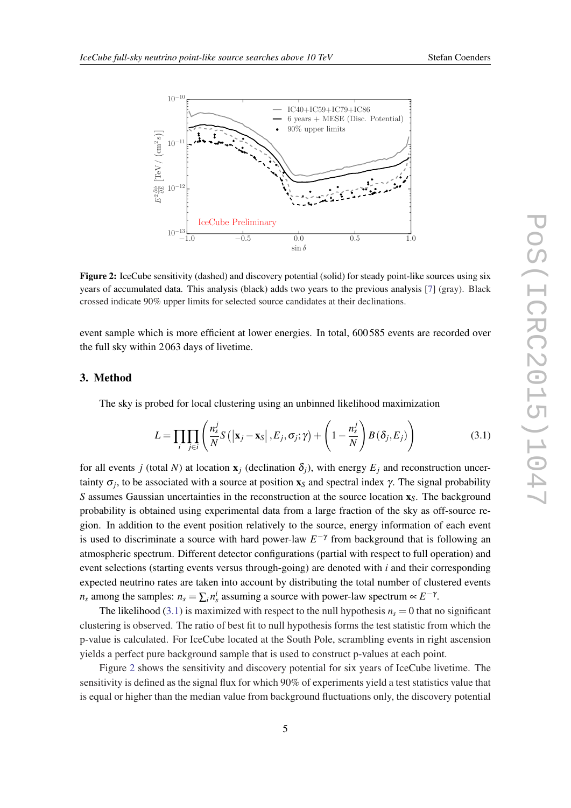

<span id="page-4-0"></span>

Figure 2: IceCube sensitivity (dashed) and discovery potential (solid) for steady point-like sources using six years of accumulated data. This analysis (black) adds two years to the previous analysis [\[7](#page-7-0)] (gray). Black crossed indicate 90% upper limits for selected source candidates at their declinations.

event sample which is more efficient at lower energies. In total, 600 585 events are recorded over the full sky within 2 063 days of livetime.

# 3. Method

The sky is probed for local clustering using an unbinned likelihood maximization

$$
L = \prod_{i} \prod_{j \in i} \left( \frac{n_s^j}{N} S\left( \left| \mathbf{x}_j - \mathbf{x}_S \right|, E_j, \sigma_j; \gamma \right) + \left( 1 - \frac{n_s^j}{N} \right) B\left( \delta_j, E_j \right) \right) \tag{3.1}
$$

for all events *j* (total *N*) at location  $\mathbf{x}_i$  (declination  $\delta_i$ ), with energy  $E_i$  and reconstruction uncertainty  $\sigma_j$ , to be associated with a source at position  $x_s$  and spectral index  $\gamma$ . The signal probability *S* assumes Gaussian uncertainties in the reconstruction at the source location  $x<sub>S</sub>$ . The background probability is obtained using experimental data from a large fraction of the sky as off-source region. In addition to the event position relatively to the source, energy information of each event is used to discriminate a source with hard power-law  $E^{-\gamma}$  from background that is following an atmospheric spectrum. Different detector configurations (partial with respect to full operation) and event selections (starting events versus through-going) are denoted with *i* and their corresponding expected neutrino rates are taken into account by distributing the total number of clustered events *n<sub>s</sub>* among the samples:  $n_s = \sum_i n_s^i$  assuming a source with power-law spectrum  $\propto E^{-\gamma}$ .

The likelihood (3.1) is maximized with respect to the null hypothesis  $n<sub>s</sub> = 0$  that no significant clustering is observed. The ratio of best fit to null hypothesis forms the test statistic from which the p-value is calculated. For IceCube located at the South Pole, scrambling events in right ascension yields a perfect pure background sample that is used to construct p-values at each point.

Figure 2 shows the sensitivity and discovery potential for six years of IceCube livetime. The sensitivity is defined as the signal flux for which 90% of experiments yield a test statistics value that is equal or higher than the median value from background fluctuations only, the discovery potential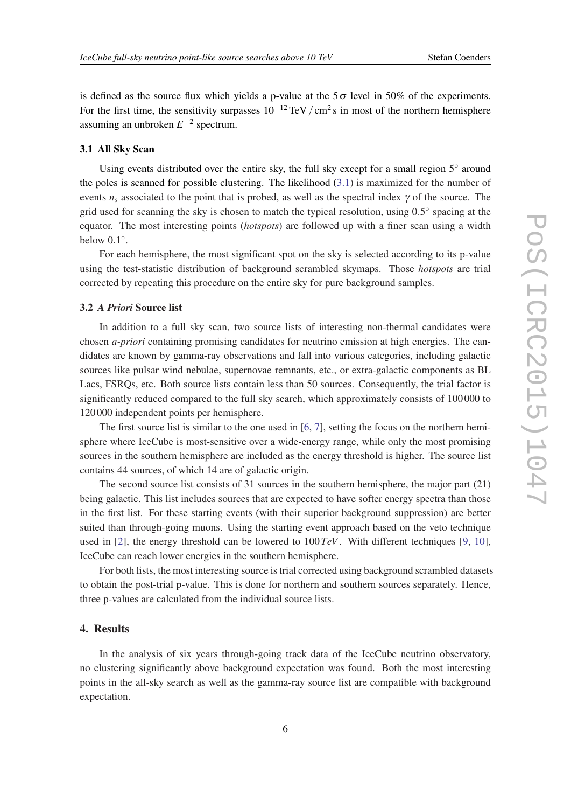is defined as the source flux which yields a p-value at the  $5\sigma$  level in 50% of the experiments. For the first time, the sensitivity surpasses  $10^{-12}$  TeV  $/cm^2$  s in most of the northern hemisphere assuming an unbroken  $E^{-2}$  spectrum.

### 3.1 All Sky Scan

Using events distributed over the entire sky, the full sky except for a small region  $5^\circ$  around the poles is scanned for possible clustering. The likelihood [\(3.1\)](#page-4-0) is maximized for the number of events  $n_s$  associated to the point that is probed, as well as the spectral index  $\gamma$  of the source. The grid used for scanning the sky is chosen to match the typical resolution, using  $0.5^{\circ}$  spacing at the equator. The most interesting points (*hotspots*) are followed up with a finer scan using a width below  $0.1^\circ$ .

For each hemisphere, the most significant spot on the sky is selected according to its p-value using the test-statistic distribution of background scrambled skymaps. Those *hotspots* are trial corrected by repeating this procedure on the entire sky for pure background samples.

#### 3.2 *A Priori* Source list

In addition to a full sky scan, two source lists of interesting non-thermal candidates were chosen *a-priori* containing promising candidates for neutrino emission at high energies. The candidates are known by gamma-ray observations and fall into various categories, including galactic sources like pulsar wind nebulae, supernovae remnants, etc., or extra-galactic components as BL Lacs, FSRQs, etc. Both source lists contain less than 50 sources. Consequently, the trial factor is significantly reduced compared to the full sky search, which approximately consists of 100 000 to 120 000 independent points per hemisphere.

The first source list is similar to the one used in [\[6,](#page-7-0) [7\]](#page-7-0), setting the focus on the northern hemisphere where IceCube is most-sensitive over a wide-energy range, while only the most promising sources in the southern hemisphere are included as the energy threshold is higher. The source list contains 44 sources, of which 14 are of galactic origin.

The second source list consists of 31 sources in the southern hemisphere, the major part (21) being galactic. This list includes sources that are expected to have softer energy spectra than those in the first list. For these starting events (with their superior background suppression) are better suited than through-going muons. Using the starting event approach based on the veto technique used in [[2](#page-7-0)], the energy threshold can be lowered to 100*TeV*. With different techniques [[9](#page-7-0), [10\]](#page-7-0), IceCube can reach lower energies in the southern hemisphere.

For both lists, the most interesting source is trial corrected using background scrambled datasets to obtain the post-trial p-value. This is done for northern and southern sources separately. Hence, three p-values are calculated from the individual source lists.

# 4. Results

In the analysis of six years through-going track data of the IceCube neutrino observatory, no clustering significantly above background expectation was found. Both the most interesting points in the all-sky search as well as the gamma-ray source list are compatible with background expectation.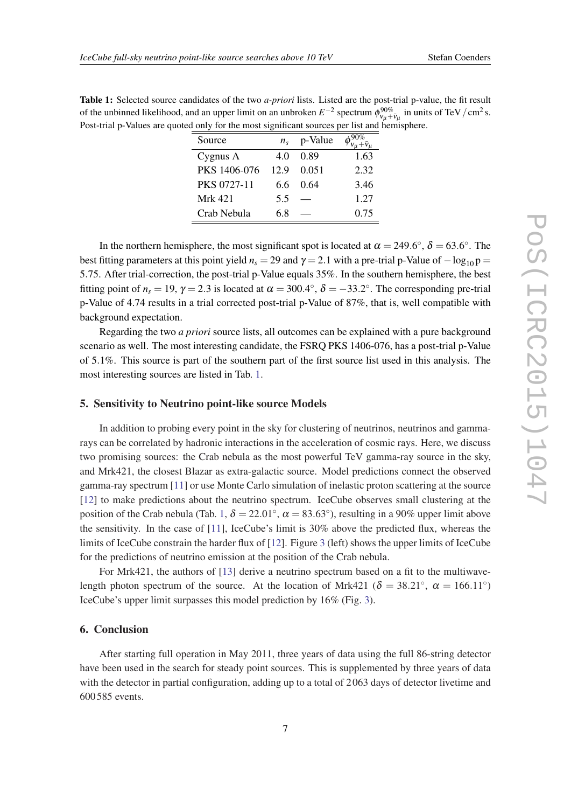| Table 1: Selected source candidates of the two <i>a-priori</i> lists. Listed are the post-trial p-value, the fit result                            |  |
|----------------------------------------------------------------------------------------------------------------------------------------------------|--|
| of the unbinned likelihood, and an upper limit on an unbroken $E^{-2}$ spectrum $\phi_{v_u + \bar{v}_u}^{90\%}$ in units of TeV/cm <sup>2</sup> s. |  |
| Post-trial p-Values are quoted only for the most significant sources per list and hemisphere.                                                      |  |

| Source             | $n_{\rm s}$ | p-Value |      |
|--------------------|-------------|---------|------|
| Cygnus A           | 4.0         | 0.89    | 1.63 |
| PKS 1406-076       | 12.9        | 0.051   | 2.32 |
| <b>PKS 0727-11</b> | 66          | 0.64    | 3.46 |
| Mrk 421            | 5.5         |         | 1.27 |
| Crab Nebula        | 68          |         | 0.75 |

In the northern hemisphere, the most significant spot is located at  $\alpha = 249.6^{\circ}$ ,  $\delta = 63.6^{\circ}$ . The best fitting parameters at this point yield  $n<sub>s</sub> = 29$  and  $\gamma = 2.1$  with a pre-trial p-Value of  $-\log_{10} p =$ 5.75. After trial-correction, the post-trial p-Value equals 35%. In the southern hemisphere, the best fitting point of  $n_s = 19$ ,  $\gamma = 2.3$  is located at  $\alpha = 300.4^{\circ}$ ,  $\delta = -33.2^{\circ}$ . The corresponding pre-trial p-Value of 4.74 results in a trial corrected post-trial p-Value of 87%, that is, well compatible with background expectation.

Regarding the two *a priori* source lists, all outcomes can be explained with a pure background scenario as well. The most interesting candidate, the FSRQ PKS 1406-076, has a post-trial p-Value of 5.1%. This source is part of the southern part of the first source list used in this analysis. The most interesting sources are listed in Tab. 1.

# 5. Sensitivity to Neutrino point-like source Models

In addition to probing every point in the sky for clustering of neutrinos, neutrinos and gammarays can be correlated by hadronic interactions in the acceleration of cosmic rays. Here, we discuss two promising sources: the Crab nebula as the most powerful TeV gamma-ray source in the sky, and Mrk421, the closest Blazar as extra-galactic source. Model predictions connect the observed gamma-ray spectrum [\[11](#page-7-0)] or use Monte Carlo simulation of inelastic proton scattering at the source [[12\]](#page-7-0) to make predictions about the neutrino spectrum. IceCube observes small clustering at the position of the Crab nebula (Tab. 1,  $\delta = 22.01^{\circ}$ ,  $\alpha = 83.63^{\circ}$ ), resulting in a 90% upper limit above the sensitivity. In the case of [[11\]](#page-7-0), IceCube's limit is 30% above the predicted flux, whereas the limits of IceCube constrain the harder flux of [\[12](#page-7-0)]. Figure [3](#page-7-0) (left) shows the upper limits of IceCube for the predictions of neutrino emission at the position of the Crab nebula.

For Mrk421, the authors of [[13\]](#page-7-0) derive a neutrino spectrum based on a fit to the multiwavelength photon spectrum of the source. At the location of Mrk421 ( $\delta = 38.21^{\circ}$ ,  $\alpha = 166.11^{\circ}$ ) IceCube's upper limit surpasses this model prediction by 16% (Fig. [3](#page-7-0)).

# 6. Conclusion

After starting full operation in May 2011, three years of data using the full 86-string detector have been used in the search for steady point sources. This is supplemented by three years of data with the detector in partial configuration, adding up to a total of 2 063 days of detector livetime and 600 585 events.